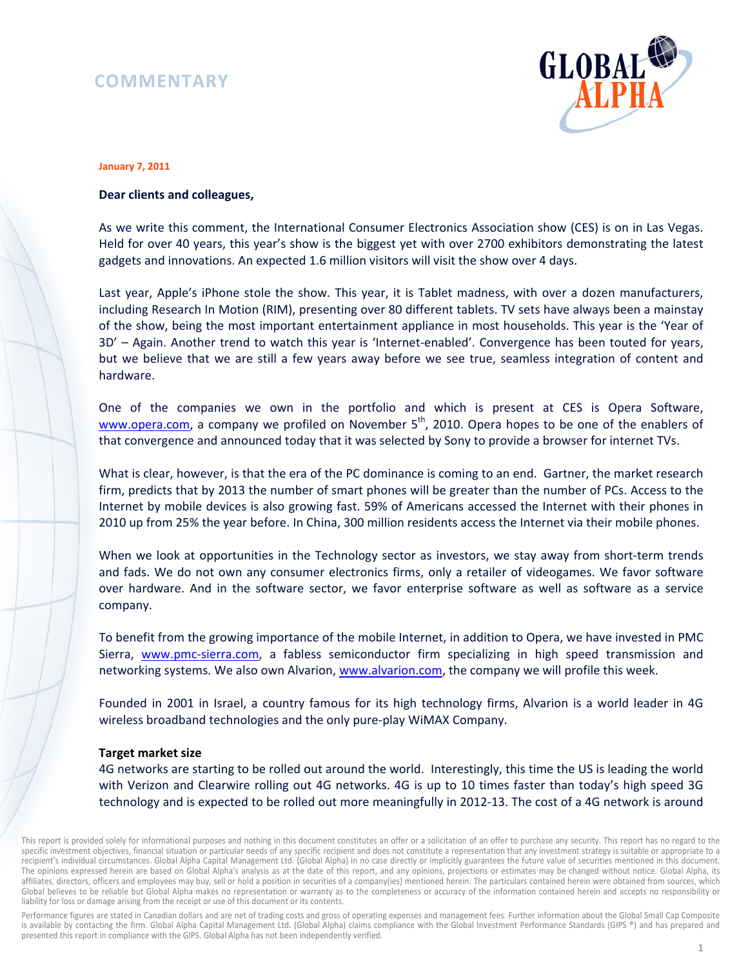# **COMMENTARY**



#### **January 7, 2011**

## **Dear clients and colleagues,**

As we write this comment, the International Consumer Electronics Association show (CES) is on in Las Vegas. Held for over 40 years, this year's show is the biggest yet with over 2700 exhibitors demonstrating the latest gadgets and innovations. An expected 1.6 million visitors will visit the show over 4 days.

Last year, Apple's iPhone stole the show. This year, it is Tablet madness, with over a dozen manufacturers, including Research In Motion (RIM), presenting over 80 different tablets. TV sets have always been a mainstay of the show, being the most important entertainment appliance in most households. This year is the 'Year of 3D' – Again. Another trend to watch this year is 'Internet-enabled'. Convergence has been touted for years, but we believe that we are still a few years away before we see true, seamless integration of content and hardware.

One of the companies we own in the portfolio and which is present at CES is Opera Software, www.opera.com, a company we profiled on November  $5<sup>th</sup>$ , 2010. Opera hopes to be one of the enablers of that convergence and announced today that it was selected by Sony to provide a browser for internet TVs.

What is clear, however, is that the era of the PC dominance is coming to an end. Gartner, the market research firm, predicts that by 2013 the number of smart phones will be greater than the number of PCs. Access to the Internet by mobile devices is also growing fast. 59% of Americans accessed the Internet with their phones in 2010 up from 25% the year before. In China, 300 million residents access the Internet via their mobile phones.

When we look at opportunities in the Technology sector as investors, we stay away from short-term trends and fads. We do not own any consumer electronics firms, only a retailer of videogames. We favor software over hardware. And in the software sector, we favor enterprise software as well as software as a service company.

To benefit from the growing importance of the mobile Internet, in addition to Opera, we have invested in PMC Sierra, www.pmc-sierra.com, a fabless semiconductor firm specializing in high speed transmission and networking systems. We also own Alvarion, www.alvarion.com, the company we will profile this week.

Founded in 2001 in Israel, a country famous for its high technology firms, Alvarion is a world leader in 4G wireless broadband technologies and the only pure-play WiMAX Company.

#### **Target market size**

4G networks are starting to be rolled out around the world. Interestingly, this time the US is leading the world with Verizon and Clearwire rolling out 4G networks. 4G is up to 10 times faster than today's high speed 3G technology and is expected to be rolled out more meaningfully in 2012-13. The cost of a 4G network is around

Performance figures are stated in Canadian dollars and are net of trading costs and gross of operating expenses and management fees. Further information about the Global Small Cap Composite is available by contacting the firm. Global Alpha Capital Management Ltd. (Global Alpha) claims compliance with the Global Investment Performance Standards (GIPS ®) and has prepared and presented this report in compliance with the GIPS. Global Alpha has not been independently verified.

This report is provided solely for informational purposes and nothing in this document constitutes an offer or a solicitation of an offer to purchase any security. This report has no regard to the specific investment objectives, financial situation or particular needs of any specific recipient and does not constitute a representation that any investment strategy is suitable or appropriate to a recipient's individual circumstances. Global Alpha Capital Management Ltd. (Global Alpha) in no case directly or implicitly guarantees the future value of securities mentioned in this document. The opinions expressed herein are based on Global Alpha's analysis as at the date of this report, and any opinions, projections or estimates may be changed without notice. Global Alpha, its affiliates, directors, officers and employees may buy, sell or hold a position in securities of a company(ies) mentioned herein. The particulars contained herein were obtained from sources, which Global believes to be reliable but Global Alpha makes no representation or warranty as to the completeness or accuracy of the information contained herein and accepts no responsibility or liability for loss or damage arising from the receipt or use of this document or its contents.